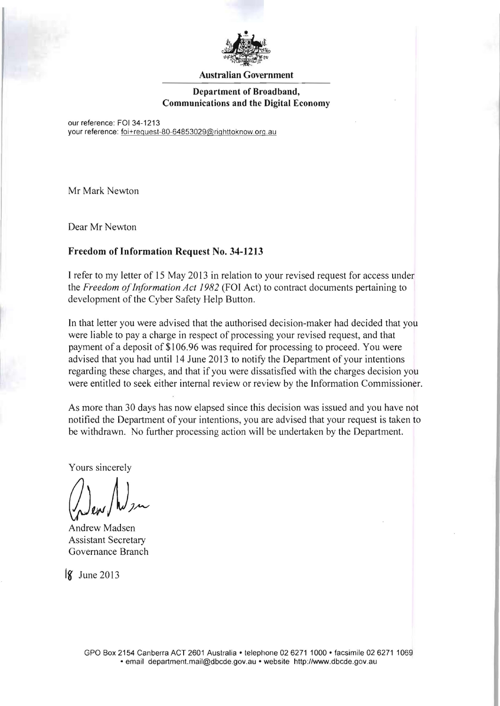

## **Australian Government**

## **Department of Broadband, Communications and the Digital Economy**

our reference: FOI 34-1213 your reference: foi+request-80-64853029@righttoknow.org.au

Mr Mark Newton

Dear Mr Newton

## **Freedom of Information Request No. 34-1213**

I refer to my letter of 15 May 2013 in relation to your revised request for access under the *Freedom ofInformation Act* 1982 (FOI Act) to contract documents pertaining to development of the Cyber Safety Help Button.

In that letter you were advised that the authorised decision-maker had decided that you were liable to pay a charge in respect of processing your revised request, and that payment of a deposit of \$1 06.96 was required for processing to proceed. You were advised that you had until 14 June 2013 to notify the Department of your intentions regarding these charges, and that if you were dissatisfied with the charges decision you were entitled to seek either internal review or review by the Information Commissioner.

As more than 30 days has now elapsed since this decision was issued and you have not notified the Department of your intentions, you are advised that your request is taken to be withdrawn. No further processing action will be undertaken by the Department.

Yours sincerely

Andrew Madsen Assistant Secretary Governance Branch

**<sup>18</sup>'** June 2013